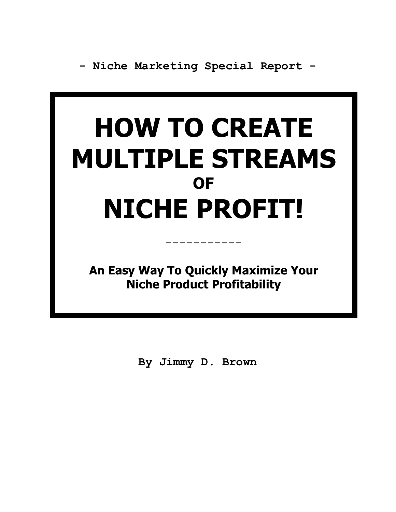**- Niche Marketing Special Report -** 

# **HOW TO CREATE MULTIPLE STREAMS OF NICHE PROFIT!**

**An Easy Way To Quickly Maximize Your Niche Product Profitability** 

-----------

**By Jimmy D. Brown**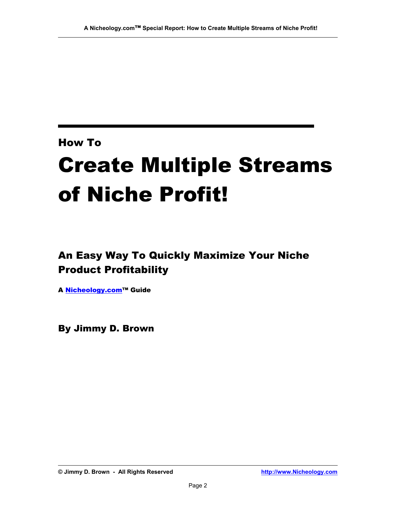### How To

# Create Multiple Streams of Niche Profit!

## An Easy Way To Quickly Maximize Your Niche Product Profitability

A **Nicheology.com™ Guide** 

By Jimmy D. Brown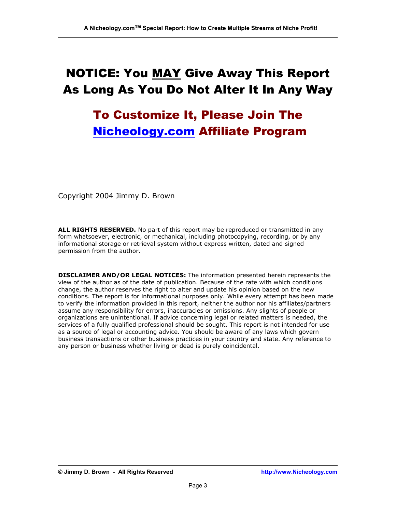## NOTICE: You MAY Give Away This Report As Long As You Do Not Alter It In Any Way

# To Customize It, Please Join The [Nicheology.com](http://www.nicheology.com/x.cgi?adminid=442&id=7664) Affiliate Program

Copyright 2004 Jimmy D. Brown

**ALL RIGHTS RESERVED.** No part of this report may be reproduced or transmitted in any form whatsoever, electronic, or mechanical, including photocopying, recording, or by any informational storage or retrieval system without express written, dated and signed permission from the author.

**DISCLAIMER AND/OR LEGAL NOTICES:** The information presented herein represents the view of the author as of the date of publication. Because of the rate with which conditions change, the author reserves the right to alter and update his opinion based on the new conditions. The report is for informational purposes only. While every attempt has been made to verify the information provided in this report, neither the author nor his affiliates/partners assume any responsibility for errors, inaccuracies or omissions. Any slights of people or organizations are unintentional. If advice concerning legal or related matters is needed, the services of a fully qualified professional should be sought. This report is not intended for use as a source of legal or accounting advice. You should be aware of any laws which govern business transactions or other business practices in your country and state. Any reference to any person or business whether living or dead is purely coincidental.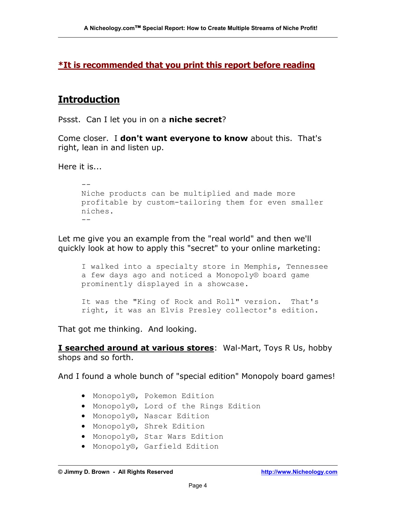#### **\*It is recommended that you print this report before reading**

### **Introduction**

Pssst. Can I let you in on a **niche secret**?

Come closer. I **don't want everyone to know** about this. That's right, lean in and listen up.

Here it is...

```
-- 
Niche products can be multiplied and made more 
profitable by custom-tailoring them for even smaller 
niches. 
- -
```
Let me give you an example from the "real world" and then we'll quickly look at how to apply this "secret" to your online marketing:

I walked into a specialty store in Memphis, Tennessee a few days ago and noticed a Monopoly® board game prominently displayed in a showcase.

It was the "King of Rock and Roll" version. That's right, it was an Elvis Presley collector's edition.

That got me thinking. And looking.

**I searched around at various stores**: Wal-Mart, Toys R Us, hobby shops and so forth.

And I found a whole bunch of "special edition" Monopoly board games!

- Monopoly®, Pokemon Edition
- Monopoly®, Lord of the Rings Edition
- Monopoly®, Nascar Edition
- Monopoly®, Shrek Edition
- Monopoly®, Star Wars Edition
- Monopoly®, Garfield Edition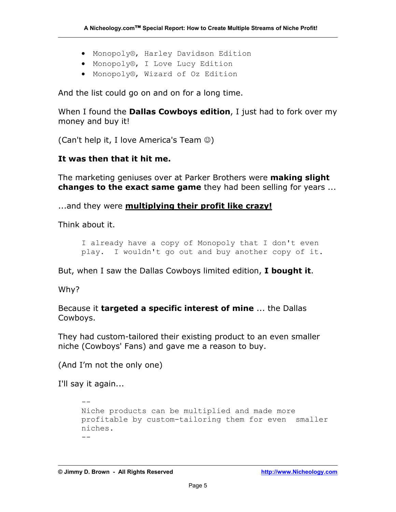- Monopoly®, Harley Davidson Edition
- Monopoly®, I Love Lucy Edition
- Monopoly®, Wizard of Oz Edition

And the list could go on and on for a long time.

When I found the **Dallas Cowboys edition**, I just had to fork over my money and buy it!

(Can't help it, I love America's Team ☺)

#### **It was then that it hit me.**

The marketing geniuses over at Parker Brothers were **making slight changes to the exact same game** they had been selling for years ...

...and they were **multiplying their profit like crazy!**

Think about it.

I already have a copy of Monopoly that I don't even play. I wouldn't go out and buy another copy of it.

But, when I saw the Dallas Cowboys limited edition, **I bought it**.

Why?

Because it **targeted a specific interest of mine** ... the Dallas Cowboys.

They had custom-tailored their existing product to an even smaller niche (Cowboys' Fans) and gave me a reason to buy.

(And I'm not the only one)

I'll say it again...

-- Niche products can be multiplied and made more profitable by custom-tailoring them for even smaller niches. --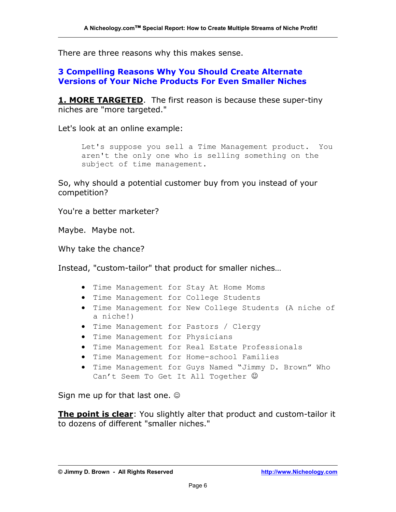There are three reasons why this makes sense.

#### **3 Compelling Reasons Why You Should Create Alternate Versions of Your Niche Products For Even Smaller Niches**

**1. MORE TARGETED**. The first reason is because these super-tiny niches are "more targeted."

Let's look at an online example:

Let's suppose you sell a Time Management product. You aren't the only one who is selling something on the subject of time management.

So, why should a potential customer buy from you instead of your competition?

You're a better marketer?

Maybe. Maybe not.

Why take the chance?

Instead, "custom-tailor" that product for smaller niches…

- Time Management for Stay At Home Moms
- Time Management for College Students
- Time Management for New College Students (A niche of a niche!)
- Time Management for Pastors / Clergy
- Time Management for Physicians
- Time Management for Real Estate Professionals
- Time Management for Home-school Families
- Time Management for Guys Named "Jimmy D. Brown" Who Can't Seem To Get It All Together  $©$

Sign me up for that last one.  $\odot$ 

**The point is clear**: You slightly alter that product and custom-tailor it to dozens of different "smaller niches."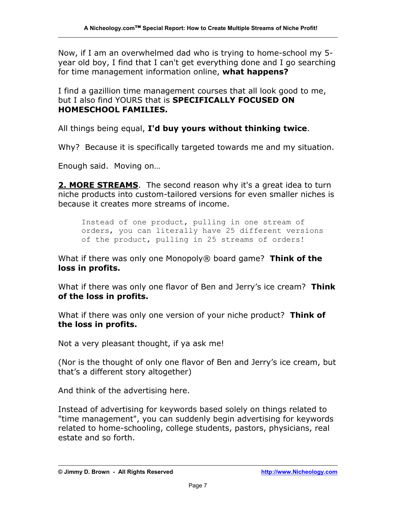Now, if I am an overwhelmed dad who is trying to home-school my 5 year old boy, I find that I can't get everything done and I go searching for time management information online, **what happens?**

I find a gazillion time management courses that all look good to me, but I also find YOURS that is **SPECIFICALLY FOCUSED ON HOMESCHOOL FAMILIES.** 

All things being equal, **I'd buy yours without thinking twice**.

Why? Because it is specifically targeted towards me and my situation.

Enough said. Moving on…

**2. MORE STREAMS**. The second reason why it's a great idea to turn niche products into custom-tailored versions for even smaller niches is because it creates more streams of income.

Instead of one product, pulling in one stream of orders, you can literally have 25 different versions of the product, pulling in 25 streams of orders!

What if there was only one Monopoly® board game? **Think of the loss in profits.** 

What if there was only one flavor of Ben and Jerry's ice cream? **Think of the loss in profits.** 

What if there was only one version of your niche product? **Think of the loss in profits.**

Not a very pleasant thought, if ya ask me!

(Nor is the thought of only one flavor of Ben and Jerry's ice cream, but that's a different story altogether)

And think of the advertising here.

Instead of advertising for keywords based solely on things related to "time management", you can suddenly begin advertising for keywords related to home-schooling, college students, pastors, physicians, real estate and so forth.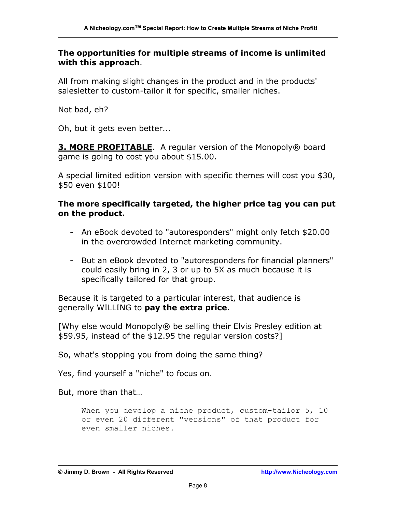#### **The opportunities for multiple streams of income is unlimited with this approach**.

All from making slight changes in the product and in the products' salesletter to custom-tailor it for specific, smaller niches.

Not bad, eh?

Oh, but it gets even better...

**3. MORE PROFITABLE**. A regular version of the Monopoly® board game is going to cost you about \$15.00.

A special limited edition version with specific themes will cost you \$30, \$50 even \$100!

#### **The more specifically targeted, the higher price tag you can put on the product.**

- An eBook devoted to "autoresponders" might only fetch \$20.00 in the overcrowded Internet marketing community.
- But an eBook devoted to "autoresponders for financial planners" could easily bring in 2, 3 or up to 5X as much because it is specifically tailored for that group.

Because it is targeted to a particular interest, that audience is generally WILLING to **pay the extra price**.

[Why else would Monopoly® be selling their Elvis Presley edition at \$59.95, instead of the \$12.95 the regular version costs?]

So, what's stopping you from doing the same thing?

Yes, find yourself a "niche" to focus on.

But, more than that…

When you develop a niche product, custom-tailor 5, 10 or even 20 different "versions" of that product for even smaller niches.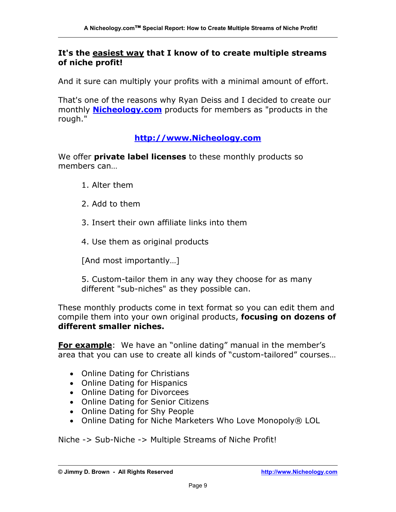#### **It's the easiest way that I know of to create multiple streams of niche profit!**

And it sure can multiply your profits with a minimal amount of effort.

That's one of the reasons why Ryan Deiss and I decided to create our monthly **[Nicheology.com](http://www.nicheology.com/x.cgi?adminid=442&id=7664)** products for members as "products in the rough."

#### **[http://www.Nicheology.com](http://www.nicheology.com/x.cgi?adminid=442&id=7664)**

We offer **private label licenses** to these monthly products so members can…

- 1. Alter them
- 2. Add to them
- 3. Insert their own affiliate links into them
- 4. Use them as original products

[And most importantly…]

5. Custom-tailor them in any way they choose for as many different "sub-niches" as they possible can.

These monthly products come in text format so you can edit them and compile them into your own original products, **focusing on dozens of different smaller niches.** 

**For example**: We have an "online dating" manual in the member's area that you can use to create all kinds of "custom-tailored" courses…

- Online Dating for Christians
- Online Dating for Hispanics
- Online Dating for Divorcees
- Online Dating for Senior Citizens
- Online Dating for Shy People
- Online Dating for Niche Marketers Who Love Monopoly® LOL

Niche -> Sub-Niche -> Multiple Streams of Niche Profit!